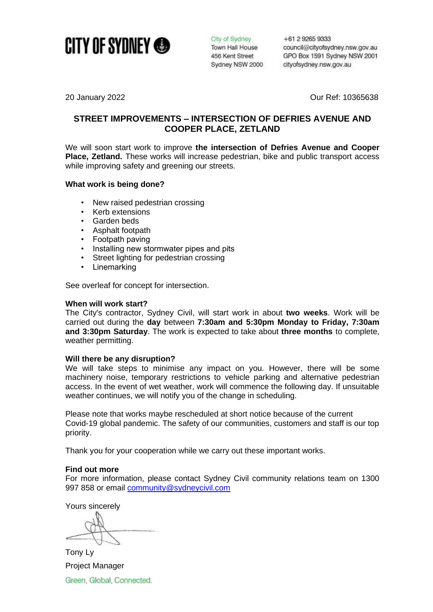

City of Sydney Town Hall House 456 Kent Street Sydney NSW 2000 +61 2 9265 9333 council@cityofsydney.nsw.gov.au GPO Box 1591 Sydney NSW 2001 cityofsydney.nsw.gov.au

20 January 2022 Our Ref: 10365638

# **STREET IMPROVEMENTS – INTERSECTION OF DEFRIES AVENUE AND COOPER PLACE, ZETLAND**

We will soon start work to improve **the intersection of Defries Avenue and Cooper Place, Zetland.** These works will increase pedestrian, bike and public transport access while improving safety and greening our streets.

# **What work is being done?**

- New raised pedestrian crossing
- Kerb extensions
- Garden beds
- Asphalt footpath<br>• Footpath paving
- Footpath paving
- Installing new stormwater pipes and pits
- Street lighting for pedestrian crossing
- **Linemarking**

See overleaf for concept for intersection.

#### **When will work start?**

The City's contractor, Sydney Civil, will start work in about **two weeks**. Work will be carried out during the **day** between **7:30am and 5:30pm Monday to Friday, 7:30am and 3:30pm Saturday**. The work is expected to take about **three months** to complete, weather permitting.

## **Will there be any disruption?**

We will take steps to minimise any impact on you. However, there will be some machinery noise, temporary restrictions to vehicle parking and alternative pedestrian access. In the event of wet weather, work will commence the following day. If unsuitable weather continues, we will notify you of the change in scheduling.

Please note that works maybe rescheduled at short notice because of the current Covid-19 global pandemic. The safety of our communities, customers and staff is our top priority.

Thank you for your cooperation while we carry out these important works.

## **Find out more**

For more information, please contact Sydney Civil community relations team on 1300 997 858 or email [community@sydneycivil.com](mailto:community@sydneycivil.com)

Yours sincerely

Tony Ly Project ManagerGreen, Global, Connected.